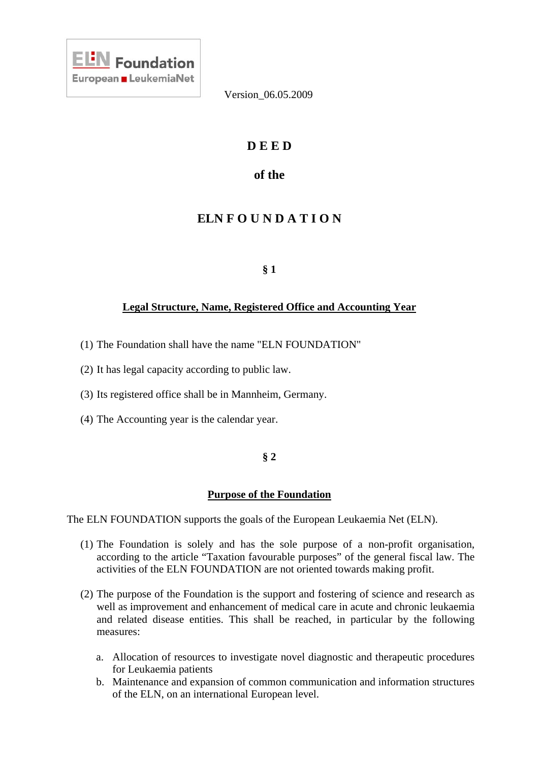

# **D E E D**

# **of the**

# **ELN F O U N D A T I O N**

## **§ 1**

## **Legal Structure, Name, Registered Office and Accounting Year**

- (1) The Foundation shall have the name "ELN FOUNDATION"
- (2) It has legal capacity according to public law.
- (3) Its registered office shall be in Mannheim, Germany.
- (4) The Accounting year is the calendar year.

## **§ 2**

## **Purpose of the Foundation**

The ELN FOUNDATION supports the goals of the European Leukaemia Net (ELN).

- (1) The Foundation is solely and has the sole purpose of a non-profit organisation, according to the article "Taxation favourable purposes" of the general fiscal law. The activities of the ELN FOUNDATION are not oriented towards making profit.
- (2) The purpose of the Foundation is the support and fostering of science and research as well as improvement and enhancement of medical care in acute and chronic leukaemia and related disease entities. This shall be reached, in particular by the following measures:
	- a. Allocation of resources to investigate novel diagnostic and therapeutic procedures for Leukaemia patients
	- b. Maintenance and expansion of common communication and information structures of the ELN, on an international European level.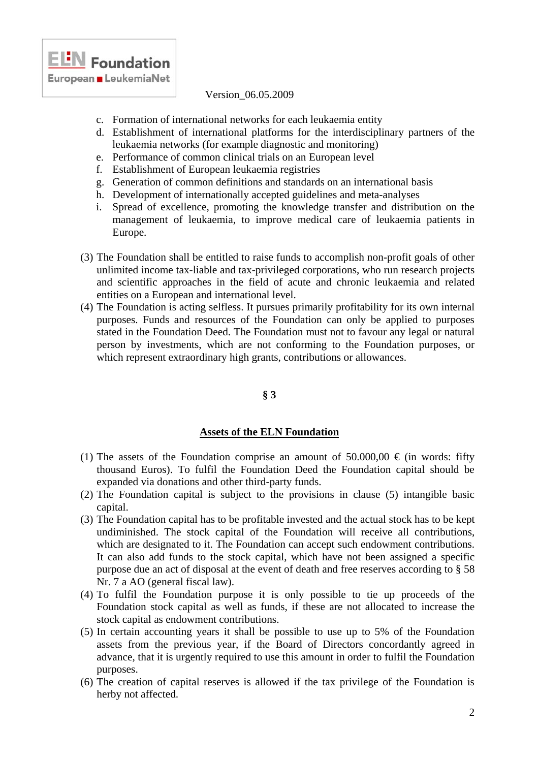

- c. Formation of international networks for each leukaemia entity
- d. Establishment of international platforms for the interdisciplinary partners of the leukaemia networks (for example diagnostic and monitoring)
- e. Performance of common clinical trials on an European level
- f. Establishment of European leukaemia registries
- g. Generation of common definitions and standards on an international basis
- h. Development of internationally accepted guidelines and meta-analyses
- i. Spread of excellence, promoting the knowledge transfer and distribution on the management of leukaemia, to improve medical care of leukaemia patients in Europe.
- (3) The Foundation shall be entitled to raise funds to accomplish non-profit goals of other unlimited income tax-liable and tax-privileged corporations, who run research projects and scientific approaches in the field of acute and chronic leukaemia and related entities on a European and international level.
- (4) The Foundation is acting selfless. It pursues primarily profitability for its own internal purposes. Funds and resources of the Foundation can only be applied to purposes stated in the Foundation Deed. The Foundation must not to favour any legal or natural person by investments, which are not conforming to the Foundation purposes, or which represent extraordinary high grants, contributions or allowances.

## **§ 3**

## **Assets of the ELN Foundation**

- (1) The assets of the Foundation comprise an amount of 50.000,00  $\epsilon$  (in words: fifty thousand Euros). To fulfil the Foundation Deed the Foundation capital should be expanded via donations and other third-party funds.
- (2) The Foundation capital is subject to the provisions in clause (5) intangible basic capital.
- (3) The Foundation capital has to be profitable invested and the actual stock has to be kept undiminished. The stock capital of the Foundation will receive all contributions, which are designated to it. The Foundation can accept such endowment contributions. It can also add funds to the stock capital, which have not been assigned a specific purpose due an act of disposal at the event of death and free reserves according to § 58 Nr. 7 a AO (general fiscal law).
- (4) To fulfil the Foundation purpose it is only possible to tie up proceeds of the Foundation stock capital as well as funds, if these are not allocated to increase the stock capital as endowment contributions.
- (5) In certain accounting years it shall be possible to use up to 5% of the Foundation assets from the previous year, if the Board of Directors concordantly agreed in advance, that it is urgently required to use this amount in order to fulfil the Foundation purposes.
- (6) The creation of capital reserves is allowed if the tax privilege of the Foundation is herby not affected.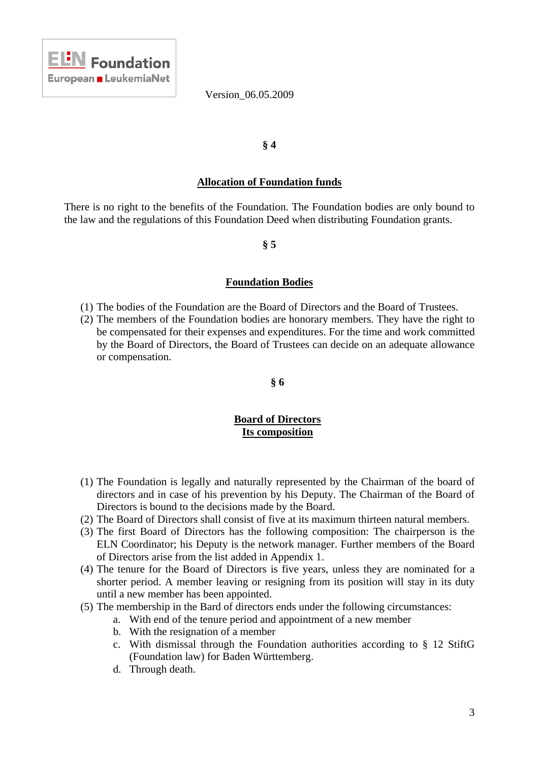

### **§ 4**

#### **Allocation of Foundation funds**

There is no right to the benefits of the Foundation. The Foundation bodies are only bound to the law and the regulations of this Foundation Deed when distributing Foundation grants.

#### **§ 5**

#### **Foundation Bodies**

- (1) The bodies of the Foundation are the Board of Directors and the Board of Trustees.
- (2) The members of the Foundation bodies are honorary members. They have the right to be compensated for their expenses and expenditures. For the time and work committed by the Board of Directors, the Board of Trustees can decide on an adequate allowance or compensation.

#### **§ 6**

## **Board of Directors Its composition**

- (1) The Foundation is legally and naturally represented by the Chairman of the board of directors and in case of his prevention by his Deputy. The Chairman of the Board of Directors is bound to the decisions made by the Board.
- (2) The Board of Directors shall consist of five at its maximum thirteen natural members.
- (3) The first Board of Directors has the following composition: The chairperson is the ELN Coordinator; his Deputy is the network manager. Further members of the Board of Directors arise from the list added in Appendix 1.
- (4) The tenure for the Board of Directors is five years, unless they are nominated for a shorter period. A member leaving or resigning from its position will stay in its duty until a new member has been appointed.
- (5) The membership in the Bard of directors ends under the following circumstances:
	- a. With end of the tenure period and appointment of a new member
	- b. With the resignation of a member
	- c. With dismissal through the Foundation authorities according to § 12 StiftG (Foundation law) for Baden Württemberg.
	- d. Through death.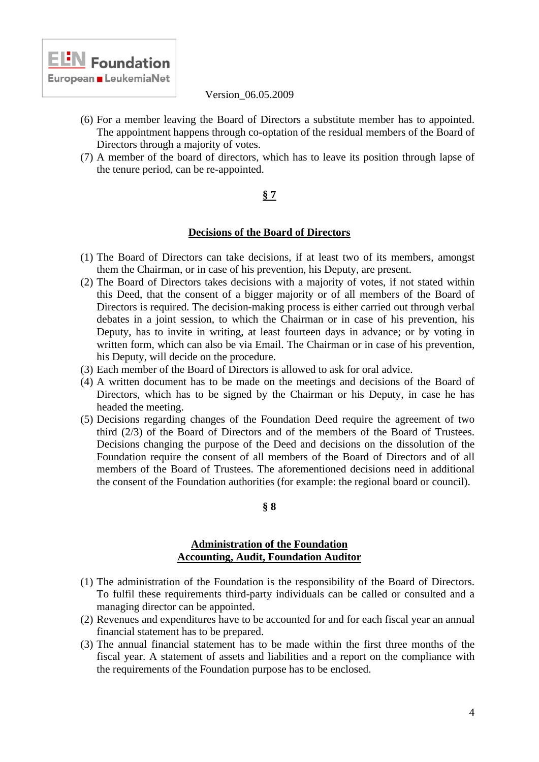

- (6) For a member leaving the Board of Directors a substitute member has to appointed. The appointment happens through co-optation of the residual members of the Board of Directors through a majority of votes.
- (7) A member of the board of directors, which has to leave its position through lapse of the tenure period, can be re-appointed.

## **§ 7**

### **Decisions of the Board of Directors**

- (1) The Board of Directors can take decisions, if at least two of its members, amongst them the Chairman, or in case of his prevention, his Deputy, are present.
- (2) The Board of Directors takes decisions with a majority of votes, if not stated within this Deed, that the consent of a bigger majority or of all members of the Board of Directors is required. The decision-making process is either carried out through verbal debates in a joint session, to which the Chairman or in case of his prevention, his Deputy, has to invite in writing, at least fourteen days in advance; or by voting in written form, which can also be via Email. The Chairman or in case of his prevention, his Deputy, will decide on the procedure.
- (3) Each member of the Board of Directors is allowed to ask for oral advice.
- (4) A written document has to be made on the meetings and decisions of the Board of Directors, which has to be signed by the Chairman or his Deputy, in case he has headed the meeting.
- (5) Decisions regarding changes of the Foundation Deed require the agreement of two third (2/3) of the Board of Directors and of the members of the Board of Trustees. Decisions changing the purpose of the Deed and decisions on the dissolution of the Foundation require the consent of all members of the Board of Directors and of all members of the Board of Trustees. The aforementioned decisions need in additional the consent of the Foundation authorities (for example: the regional board or council).

#### **§ 8**

### **Administration of the Foundation Accounting, Audit, Foundation Auditor**

- (1) The administration of the Foundation is the responsibility of the Board of Directors. To fulfil these requirements third-party individuals can be called or consulted and a managing director can be appointed.
- (2) Revenues and expenditures have to be accounted for and for each fiscal year an annual financial statement has to be prepared.
- (3) The annual financial statement has to be made within the first three months of the fiscal year. A statement of assets and liabilities and a report on the compliance with the requirements of the Foundation purpose has to be enclosed.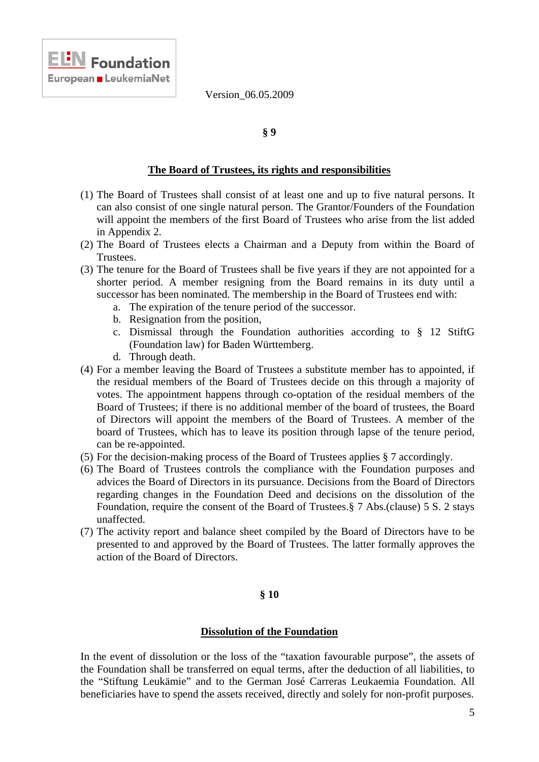### **§ 9**

#### **The Board of Trustees, its rights and responsibilities**

- (1) The Board of Trustees shall consist of at least one and up to five natural persons. It can also consist of one single natural person. The Grantor/Founders of the Foundation will appoint the members of the first Board of Trustees who arise from the list added in Appendix 2.
- (2) The Board of Trustees elects a Chairman and a Deputy from within the Board of Trustees.
- (3) The tenure for the Board of Trustees shall be five years if they are not appointed for a shorter period. A member resigning from the Board remains in its duty until a successor has been nominated. The membership in the Board of Trustees end with:
	- a. The expiration of the tenure period of the successor.
	- b. Resignation from the position,
	- c. Dismissal through the Foundation authorities according to § 12 StiftG (Foundation law) for Baden Württemberg.
	- d. Through death.

**ELN** Foundation

- (4) For a member leaving the Board of Trustees a substitute member has to appointed, if the residual members of the Board of Trustees decide on this through a majority of votes. The appointment happens through co-optation of the residual members of the Board of Trustees; if there is no additional member of the board of trustees, the Board of Directors will appoint the members of the Board of Trustees. A member of the board of Trustees, which has to leave its position through lapse of the tenure period, can be re-appointed.
- (5) For the decision-making process of the Board of Trustees applies § 7 accordingly.
- (6) The Board of Trustees controls the compliance with the Foundation purposes and advices the Board of Directors in its pursuance. Decisions from the Board of Directors regarding changes in the Foundation Deed and decisions on the dissolution of the Foundation, require the consent of the Board of Trustees.§ 7 Abs.(clause) 5 S. 2 stays unaffected.
- (7) The activity report and balance sheet compiled by the Board of Directors have to be presented to and approved by the Board of Trustees. The latter formally approves the action of the Board of Directors.

#### **§ 10**

#### **Dissolution of the Foundation**

In the event of dissolution or the loss of the "taxation favourable purpose", the assets of the Foundation shall be transferred on equal terms, after the deduction of all liabilities, to the "Stiftung Leukämie" and to the German José Carreras Leukaemia Foundation. All beneficiaries have to spend the assets received, directly and solely for non-profit purposes.